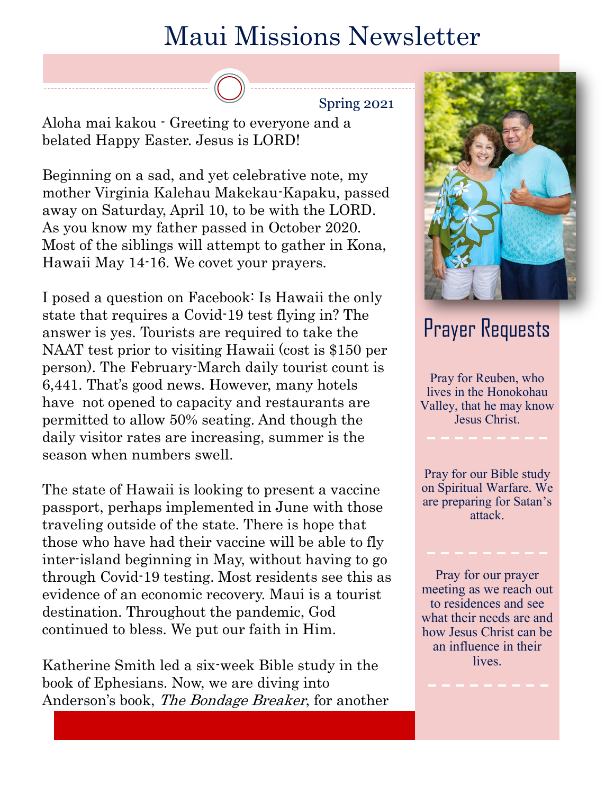## Maui Missions Newsletter

Spring 2021

Aloha mai kakou - Greeting to everyone and a belated Happy Easter. Jesus is LORD!

Beginning on a sad, and yet celebrative note, my mother Virginia Kalehau Makekau-Kapaku, passed away on Saturday, April 10, to be with the LORD. As you know my father passed in October 2020. Most of the siblings will attempt to gather in Kona, Hawaii May 14-16. We covet your prayers.

I posed a question on Facebook: Is Hawaii the only state that requires a Covid-19 test flying in? The answer is yes. Tourists are required to take the NAAT test prior to visiting Hawaii (cost is \$150 per person). The February-March daily tourist count is 6,441. That's good news. However, many hotels have not opened to capacity and restaurants are permitted to allow 50% seating. And though the daily visitor rates are increasing, summer is the season when numbers swell.

The state of Hawaii is looking to present a vaccine passport, perhaps implemented in June with those traveling outside of the state. There is hope that those who have had their vaccine will be able to fly inter-island beginning in May, without having to go through Covid-19 testing. Most residents see this as evidence of an economic recovery. Maui is a tourist destination. Throughout the pandemic, God continued to bless. We put our faith in Him.

Katherine Smith led a six-week Bible study in the book of Ephesians. Now, we are diving into Anderson's book, The Bondage Breaker, for another



## Prayer Requests

Pray for Reuben, who lives in the Honokohau Valley, that he may know Jesus Christ.

Pray for our Bible study on Spiritual Warfare. We are preparing for Satan's attack.

Pray for our prayer meeting as we reach out to residences and see what their needs are and how Jesus Christ can be an influence in their lives.